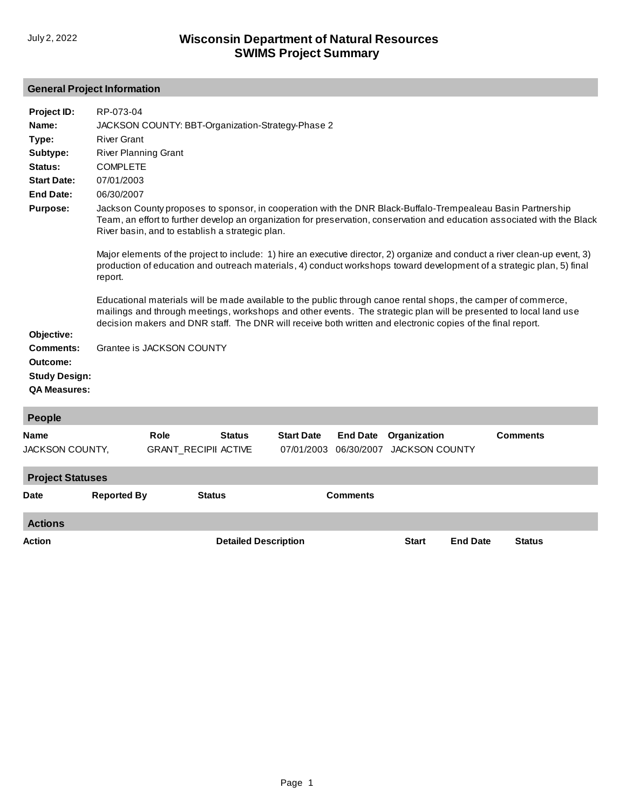# **General Project Information**

| Project ID:<br>Name:<br>Type:<br>Subtype:<br>Status:<br><b>Start Date:</b><br><b>End Date:</b><br>Purpose:<br>Objective: | RP-073-04<br>JACKSON COUNTY: BBT-Organization-Strategy-Phase 2<br><b>River Grant</b><br><b>River Planning Grant</b><br><b>COMPLETE</b><br>07/01/2003<br>06/30/2007<br>Jackson County proposes to sponsor, in cooperation with the DNR Black-Buffalo-Trempealeau Basin Partnership<br>Team, an effort to further develop an organization for preservation, conservation and education associated with the Black<br>River basin, and to establish a strategic plan.<br>Major elements of the project to include: 1) hire an executive director, 2) organize and conduct a river clean-up event, 3)<br>production of education and outreach materials, 4) conduct workshops toward development of a strategic plan, 5) final<br>report.<br>Educational materials will be made available to the public through canoe rental shops, the camper of commerce,<br>mailings and through meetings, workshops and other events. The strategic plan will be presented to local land use<br>decision makers and DNR staff. The DNR will receive both written and electronic copies of the final report. |                                     |                             |                                 |                               |                                       |                 |                 |  |
|--------------------------------------------------------------------------------------------------------------------------|--------------------------------------------------------------------------------------------------------------------------------------------------------------------------------------------------------------------------------------------------------------------------------------------------------------------------------------------------------------------------------------------------------------------------------------------------------------------------------------------------------------------------------------------------------------------------------------------------------------------------------------------------------------------------------------------------------------------------------------------------------------------------------------------------------------------------------------------------------------------------------------------------------------------------------------------------------------------------------------------------------------------------------------------------------------------------------------------|-------------------------------------|-----------------------------|---------------------------------|-------------------------------|---------------------------------------|-----------------|-----------------|--|
| <b>Comments:</b><br>Outcome:                                                                                             |                                                                                                                                                                                                                                                                                                                                                                                                                                                                                                                                                                                                                                                                                                                                                                                                                                                                                                                                                                                                                                                                                            | Grantee is JACKSON COUNTY           |                             |                                 |                               |                                       |                 |                 |  |
| <b>Study Design:</b><br><b>QA Measures:</b>                                                                              |                                                                                                                                                                                                                                                                                                                                                                                                                                                                                                                                                                                                                                                                                                                                                                                                                                                                                                                                                                                                                                                                                            |                                     |                             |                                 |                               |                                       |                 |                 |  |
| People                                                                                                                   |                                                                                                                                                                                                                                                                                                                                                                                                                                                                                                                                                                                                                                                                                                                                                                                                                                                                                                                                                                                                                                                                                            |                                     |                             |                                 |                               |                                       |                 |                 |  |
| Name<br>JACKSON COUNTY,                                                                                                  |                                                                                                                                                                                                                                                                                                                                                                                                                                                                                                                                                                                                                                                                                                                                                                                                                                                                                                                                                                                                                                                                                            | Role<br><b>GRANT RECIPII ACTIVE</b> | <b>Status</b>               | <b>Start Date</b><br>07/01/2003 | <b>End Date</b><br>06/30/2007 | Organization<br><b>JACKSON COUNTY</b> |                 | <b>Comments</b> |  |
| <b>Project Statuses</b>                                                                                                  |                                                                                                                                                                                                                                                                                                                                                                                                                                                                                                                                                                                                                                                                                                                                                                                                                                                                                                                                                                                                                                                                                            |                                     |                             |                                 |                               |                                       |                 |                 |  |
| <b>Date</b>                                                                                                              | <b>Reported By</b>                                                                                                                                                                                                                                                                                                                                                                                                                                                                                                                                                                                                                                                                                                                                                                                                                                                                                                                                                                                                                                                                         |                                     | <b>Status</b>               |                                 | <b>Comments</b>               |                                       |                 |                 |  |
| <b>Actions</b>                                                                                                           |                                                                                                                                                                                                                                                                                                                                                                                                                                                                                                                                                                                                                                                                                                                                                                                                                                                                                                                                                                                                                                                                                            |                                     |                             |                                 |                               |                                       |                 |                 |  |
| Action                                                                                                                   |                                                                                                                                                                                                                                                                                                                                                                                                                                                                                                                                                                                                                                                                                                                                                                                                                                                                                                                                                                                                                                                                                            |                                     | <b>Detailed Description</b> |                                 |                               | <b>Start</b>                          | <b>End Date</b> | <b>Status</b>   |  |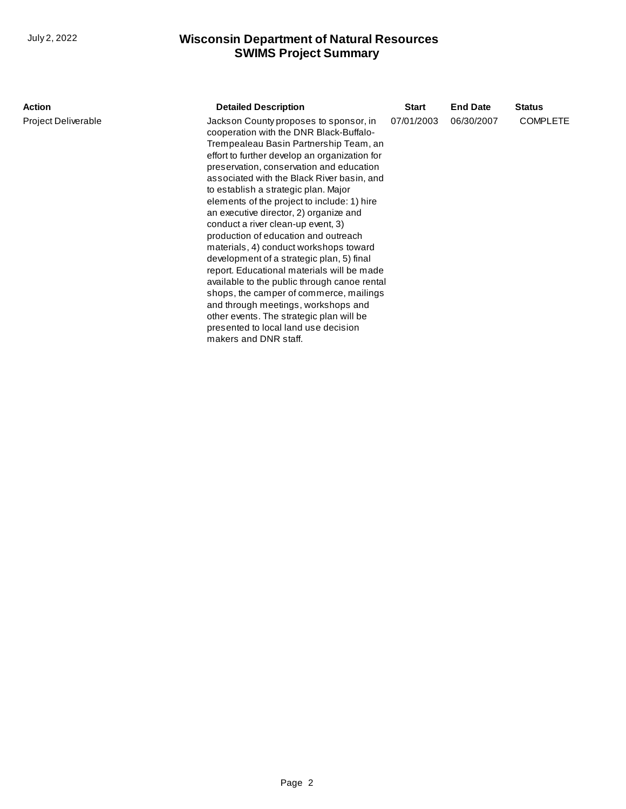| <b>COMPLETE</b><br>06/30/2007 |
|-------------------------------|
|                               |
|                               |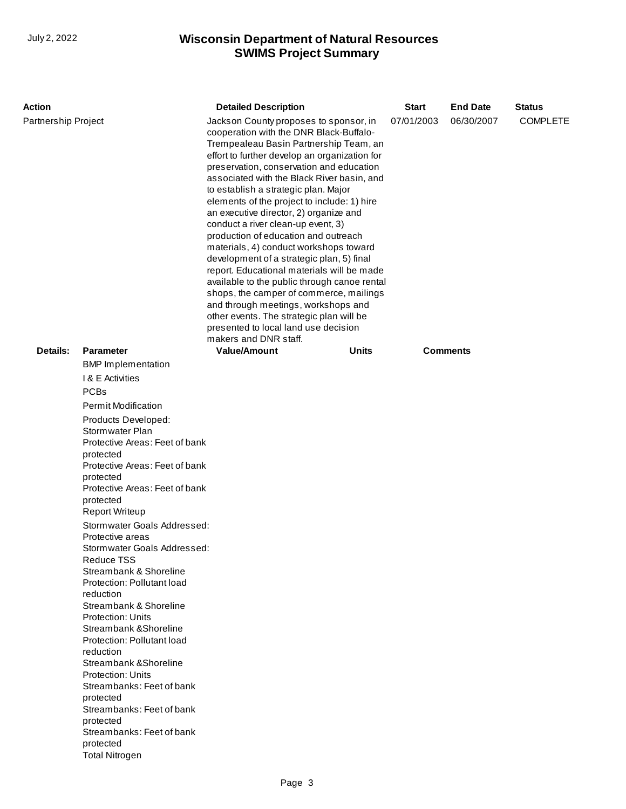| <b>Action</b>       |                                                                                                                                                                                                                                                                                                                                                                                                                                                                                                                                                                                                                                                                                                                                                                                                | <b>Detailed Description</b>                                                                                                                                                                                                                                                                                                                                                                                                                                                                                                                                                                                                                                                                                                                                                                                                                                               |              | <b>Start</b> | <b>End Date</b> | <b>Status</b> |
|---------------------|------------------------------------------------------------------------------------------------------------------------------------------------------------------------------------------------------------------------------------------------------------------------------------------------------------------------------------------------------------------------------------------------------------------------------------------------------------------------------------------------------------------------------------------------------------------------------------------------------------------------------------------------------------------------------------------------------------------------------------------------------------------------------------------------|---------------------------------------------------------------------------------------------------------------------------------------------------------------------------------------------------------------------------------------------------------------------------------------------------------------------------------------------------------------------------------------------------------------------------------------------------------------------------------------------------------------------------------------------------------------------------------------------------------------------------------------------------------------------------------------------------------------------------------------------------------------------------------------------------------------------------------------------------------------------------|--------------|--------------|-----------------|---------------|
| Partnership Project |                                                                                                                                                                                                                                                                                                                                                                                                                                                                                                                                                                                                                                                                                                                                                                                                | Jackson County proposes to sponsor, in<br>cooperation with the DNR Black-Buffalo-<br>Trempealeau Basin Partnership Team, an<br>effort to further develop an organization for<br>preservation, conservation and education<br>associated with the Black River basin, and<br>to establish a strategic plan. Major<br>elements of the project to include: 1) hire<br>an executive director, 2) organize and<br>conduct a river clean-up event, 3)<br>production of education and outreach<br>materials, 4) conduct workshops toward<br>development of a strategic plan, 5) final<br>report. Educational materials will be made<br>available to the public through canoe rental<br>shops, the camper of commerce, mailings<br>and through meetings, workshops and<br>other events. The strategic plan will be<br>presented to local land use decision<br>makers and DNR staff. | 07/01/2003   | 06/30/2007   | <b>COMPLETE</b> |               |
| Details:            | <b>Parameter</b>                                                                                                                                                                                                                                                                                                                                                                                                                                                                                                                                                                                                                                                                                                                                                                               | <b>Value/Amount</b>                                                                                                                                                                                                                                                                                                                                                                                                                                                                                                                                                                                                                                                                                                                                                                                                                                                       | <b>Units</b> |              | <b>Comments</b> |               |
|                     | <b>BMP</b> Implementation<br>I & E Activities<br><b>PCBs</b><br><b>Permit Modification</b><br>Products Developed:<br>Stormwater Plan<br>Protective Areas: Feet of bank<br>protected<br>Protective Areas: Feet of bank<br>protected<br>Protective Areas: Feet of bank<br>protected<br><b>Report Writeup</b><br>Stormwater Goals Addressed:<br>Protective areas<br>Stormwater Goals Addressed:<br>Reduce TSS<br>Streambank & Shoreline<br>Protection: Pollutant load<br>reduction<br>Streambank & Shoreline<br><b>Protection: Units</b><br>Streambank & Shoreline<br>Protection: Pollutant load<br>reduction<br>Streambank & Shoreline<br><b>Protection: Units</b><br>Streambanks: Feet of bank<br>protected<br>Streambanks: Feet of bank<br>protected<br>Streambanks: Feet of bank<br>protected |                                                                                                                                                                                                                                                                                                                                                                                                                                                                                                                                                                                                                                                                                                                                                                                                                                                                           |              |              |                 |               |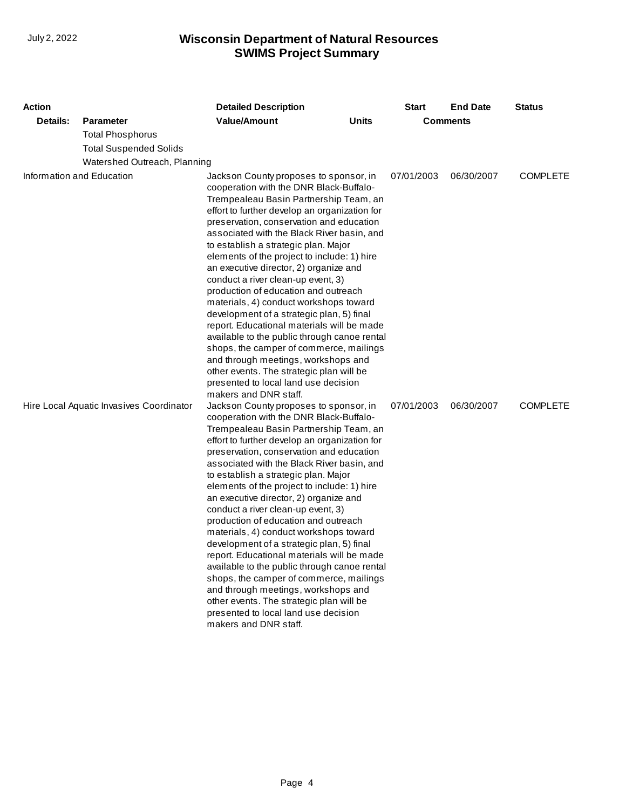| Action                                                    |                               | <b>Detailed Description</b>                                                                                                                                                                                                                                                                                                                                                                                                                                                                                                                                                                                                                                                                                                                                                                                                                                                                                                                                                            |              | <b>Start</b> | <b>End Date</b> | <b>Status</b>   |
|-----------------------------------------------------------|-------------------------------|----------------------------------------------------------------------------------------------------------------------------------------------------------------------------------------------------------------------------------------------------------------------------------------------------------------------------------------------------------------------------------------------------------------------------------------------------------------------------------------------------------------------------------------------------------------------------------------------------------------------------------------------------------------------------------------------------------------------------------------------------------------------------------------------------------------------------------------------------------------------------------------------------------------------------------------------------------------------------------------|--------------|--------------|-----------------|-----------------|
| Details:                                                  | <b>Parameter</b>              | <b>Value/Amount</b>                                                                                                                                                                                                                                                                                                                                                                                                                                                                                                                                                                                                                                                                                                                                                                                                                                                                                                                                                                    | <b>Units</b> |              | <b>Comments</b> |                 |
|                                                           | <b>Total Phosphorus</b>       |                                                                                                                                                                                                                                                                                                                                                                                                                                                                                                                                                                                                                                                                                                                                                                                                                                                                                                                                                                                        |              |              |                 |                 |
|                                                           | <b>Total Suspended Solids</b> |                                                                                                                                                                                                                                                                                                                                                                                                                                                                                                                                                                                                                                                                                                                                                                                                                                                                                                                                                                                        |              |              |                 |                 |
|                                                           |                               |                                                                                                                                                                                                                                                                                                                                                                                                                                                                                                                                                                                                                                                                                                                                                                                                                                                                                                                                                                                        |              |              |                 |                 |
| Watershed Outreach, Planning<br>Information and Education |                               | Jackson County proposes to sponsor, in<br>cooperation with the DNR Black-Buffalo-<br>Trempealeau Basin Partnership Team, an<br>effort to further develop an organization for<br>preservation, conservation and education<br>associated with the Black River basin, and<br>to establish a strategic plan. Major<br>elements of the project to include: 1) hire<br>an executive director, 2) organize and<br>conduct a river clean-up event, 3)<br>production of education and outreach<br>materials, 4) conduct workshops toward<br>development of a strategic plan, 5) final<br>report. Educational materials will be made<br>available to the public through canoe rental<br>shops, the camper of commerce, mailings<br>and through meetings, workshops and                                                                                                                                                                                                                           |              | 07/01/2003   | 06/30/2007      | <b>COMPLETE</b> |
| Hire Local Aquatic Invasives Coordinator                  |                               | other events. The strategic plan will be<br>presented to local land use decision<br>makers and DNR staff.<br>Jackson County proposes to sponsor, in<br>cooperation with the DNR Black-Buffalo-<br>Trempealeau Basin Partnership Team, an<br>effort to further develop an organization for<br>preservation, conservation and education<br>associated with the Black River basin, and<br>to establish a strategic plan. Major<br>elements of the project to include: 1) hire<br>an executive director, 2) organize and<br>conduct a river clean-up event, 3)<br>production of education and outreach<br>materials, 4) conduct workshops toward<br>development of a strategic plan, 5) final<br>report. Educational materials will be made<br>available to the public through canoe rental<br>shops, the camper of commerce, mailings<br>and through meetings, workshops and<br>other events. The strategic plan will be<br>presented to local land use decision<br>makers and DNR staff. |              | 07/01/2003   | 06/30/2007      | <b>COMPLETE</b> |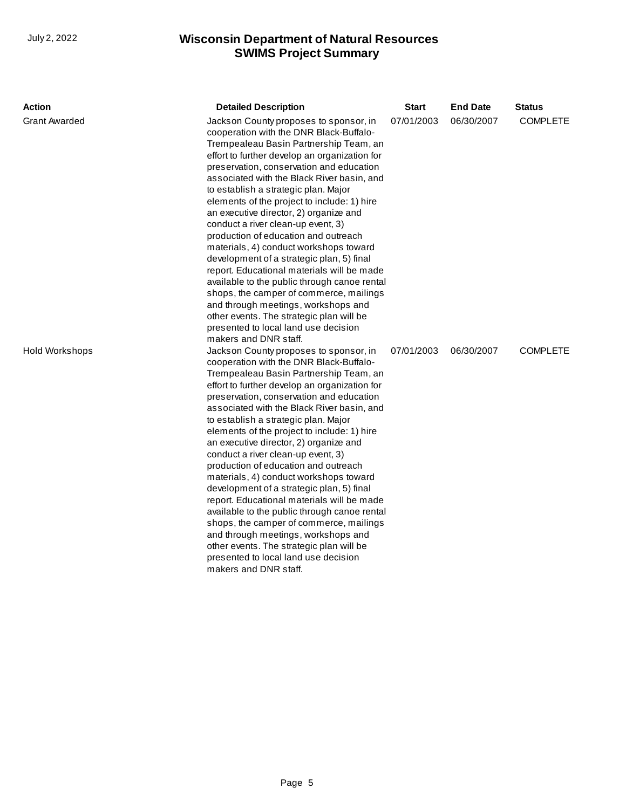| <b>Action</b>        | <b>Detailed Description</b>                                                                                                                                                                                                                                                                                                                                                                                                                                                                                                                                                                                                                                                                                                                                                                                                                                               | <b>Start</b> | <b>End Date</b> | <b>Status</b>   |
|----------------------|---------------------------------------------------------------------------------------------------------------------------------------------------------------------------------------------------------------------------------------------------------------------------------------------------------------------------------------------------------------------------------------------------------------------------------------------------------------------------------------------------------------------------------------------------------------------------------------------------------------------------------------------------------------------------------------------------------------------------------------------------------------------------------------------------------------------------------------------------------------------------|--------------|-----------------|-----------------|
| <b>Grant Awarded</b> | Jackson County proposes to sponsor, in<br>cooperation with the DNR Black-Buffalo-<br>Trempealeau Basin Partnership Team, an<br>effort to further develop an organization for<br>preservation, conservation and education<br>associated with the Black River basin, and<br>to establish a strategic plan. Major<br>elements of the project to include: 1) hire<br>an executive director, 2) organize and<br>conduct a river clean-up event, 3)<br>production of education and outreach<br>materials, 4) conduct workshops toward<br>development of a strategic plan, 5) final<br>report. Educational materials will be made<br>available to the public through canoe rental<br>shops, the camper of commerce, mailings<br>and through meetings, workshops and<br>other events. The strategic plan will be<br>presented to local land use decision<br>makers and DNR staff. | 07/01/2003   | 06/30/2007      | <b>COMPLETE</b> |
| Hold Workshops       | Jackson County proposes to sponsor, in<br>cooperation with the DNR Black-Buffalo-<br>Trempealeau Basin Partnership Team, an<br>effort to further develop an organization for<br>preservation, conservation and education<br>associated with the Black River basin, and<br>to establish a strategic plan. Major<br>elements of the project to include: 1) hire<br>an executive director, 2) organize and<br>conduct a river clean-up event, 3)<br>production of education and outreach<br>materials, 4) conduct workshops toward<br>development of a strategic plan, 5) final<br>report. Educational materials will be made<br>available to the public through canoe rental<br>shops, the camper of commerce, mailings<br>and through meetings, workshops and<br>other events. The strategic plan will be<br>presented to local land use decision<br>makers and DNR staff. | 07/01/2003   | 06/30/2007      | <b>COMPLETE</b> |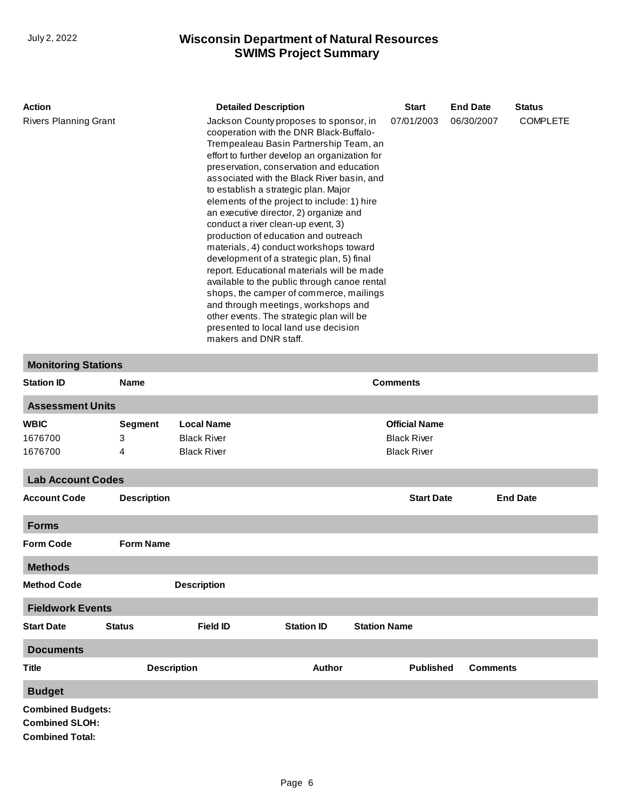| <b>Action</b>                                                                                                                                                                                                                                                                                                                                                                                                                                                                                                                                                                                                                                                                                                                                                                                                                                                                                             |                | <b>Detailed Description</b> | <b>Start</b>         | <b>End Date</b> | <b>Status</b>   |  |
|-----------------------------------------------------------------------------------------------------------------------------------------------------------------------------------------------------------------------------------------------------------------------------------------------------------------------------------------------------------------------------------------------------------------------------------------------------------------------------------------------------------------------------------------------------------------------------------------------------------------------------------------------------------------------------------------------------------------------------------------------------------------------------------------------------------------------------------------------------------------------------------------------------------|----------------|-----------------------------|----------------------|-----------------|-----------------|--|
| <b>Rivers Planning Grant</b><br>Jackson County proposes to sponsor, in<br>cooperation with the DNR Black-Buffalo-<br>Trempealeau Basin Partnership Team, an<br>effort to further develop an organization for<br>preservation, conservation and education<br>associated with the Black River basin, and<br>to establish a strategic plan. Major<br>elements of the project to include: 1) hire<br>an executive director, 2) organize and<br>conduct a river clean-up event, 3)<br>production of education and outreach<br>materials, 4) conduct workshops toward<br>development of a strategic plan, 5) final<br>report. Educational materials will be made<br>available to the public through canoe rental<br>shops, the camper of commerce, mailings<br>and through meetings, workshops and<br>other events. The strategic plan will be<br>presented to local land use decision<br>makers and DNR staff. |                |                             | 07/01/2003           | 06/30/2007      | <b>COMPLETE</b> |  |
| <b>Monitoring Stations</b>                                                                                                                                                                                                                                                                                                                                                                                                                                                                                                                                                                                                                                                                                                                                                                                                                                                                                |                |                             |                      |                 |                 |  |
| <b>Station ID</b>                                                                                                                                                                                                                                                                                                                                                                                                                                                                                                                                                                                                                                                                                                                                                                                                                                                                                         | <b>Name</b>    |                             | <b>Comments</b>      |                 |                 |  |
| <b>Assessment Units</b>                                                                                                                                                                                                                                                                                                                                                                                                                                                                                                                                                                                                                                                                                                                                                                                                                                                                                   |                |                             |                      |                 |                 |  |
| <b>WBIC</b>                                                                                                                                                                                                                                                                                                                                                                                                                                                                                                                                                                                                                                                                                                                                                                                                                                                                                               | <b>Segment</b> | <b>Local Name</b>           | <b>Official Name</b> |                 |                 |  |
| 1676700                                                                                                                                                                                                                                                                                                                                                                                                                                                                                                                                                                                                                                                                                                                                                                                                                                                                                                   | 3              | <b>Black River</b>          | <b>Black River</b>   |                 |                 |  |
| 1676700                                                                                                                                                                                                                                                                                                                                                                                                                                                                                                                                                                                                                                                                                                                                                                                                                                                                                                   | 4              | <b>Black River</b>          | <b>Black River</b>   |                 |                 |  |
| <b>Lab Account Codes</b>                                                                                                                                                                                                                                                                                                                                                                                                                                                                                                                                                                                                                                                                                                                                                                                                                                                                                  |                |                             |                      |                 |                 |  |

| <b>Account Code</b>                               | <b>Description</b> |                    |                   | <b>Start Date</b>   | <b>End Date</b> |
|---------------------------------------------------|--------------------|--------------------|-------------------|---------------------|-----------------|
| <b>Forms</b>                                      |                    |                    |                   |                     |                 |
| <b>Form Code</b>                                  | <b>Form Name</b>   |                    |                   |                     |                 |
| <b>Methods</b>                                    |                    |                    |                   |                     |                 |
| <b>Method Code</b>                                |                    | <b>Description</b> |                   |                     |                 |
| <b>Fieldwork Events</b>                           |                    |                    |                   |                     |                 |
| <b>Start Date</b>                                 | <b>Status</b>      | <b>Field ID</b>    | <b>Station ID</b> | <b>Station Name</b> |                 |
| <b>Documents</b>                                  |                    |                    |                   |                     |                 |
| <b>Title</b>                                      | <b>Description</b> |                    | <b>Author</b>     | <b>Published</b>    | <b>Comments</b> |
| <b>Budget</b>                                     |                    |                    |                   |                     |                 |
| <b>Combined Budgets:</b><br><b>Combined SLOH:</b> |                    |                    |                   |                     |                 |

**Combined Total:**